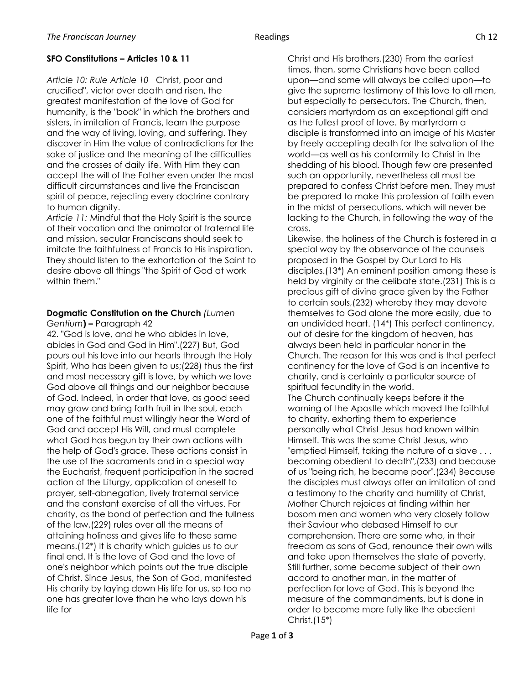## **SFO Constitutions – Articles 10 & 11**

*Article 10: Rule Article 10* Christ, poor and crucified", victor over death and risen, the greatest manifestation of the love of God for humanity, is the "book" in which the brothers and sisters, in imitation of Francis, learn the purpose and the way of living, loving, and suffering. They discover in Him the value of contradictions for the sake of justice and the meaning of the difficulties and the crosses of daily life. With Him they can accept the will of the Father even under the most difficult circumstances and live the Franciscan spirit of peace, rejecting every doctrine contrary to human dignity.

*Article 11:* Mindful that the Holy Spirit is the source of their vocation and the animator of fraternal life and mission, secular Franciscans should seek to imitate the faithfulness of Francis to His inspiration. They should listen to the exhortation of the Saint to desire above all things "the Spirit of God at work within them."

## **Dogmatic Constitution on the Church** *(Lumen Gentium***) –** Paragraph 42

42. "God is love, and he who abides in love, abides in God and God in Him".(227) But, God pours out his love into our hearts through the Holy Spirit, Who has been given to us;(228) thus the first and most necessary gift is love, by which we love God above all things and our neighbor because of God. Indeed, in order that love, as good seed may grow and bring forth fruit in the soul, each one of the faithful must willingly hear the Word of God and accept His Will, and must complete what God has begun by their own actions with the help of God's grace. These actions consist in the use of the sacraments and in a special way the Eucharist, frequent participation in the sacred action of the Liturgy, application of oneself to prayer, self-abnegation, lively fraternal service and the constant exercise of all the virtues. For charity, as the bond of perfection and the fullness of the law,(229) rules over all the means of attaining holiness and gives life to these same means.(12\*) It is charity which guides us to our final end. It is the love of God and the love of one's neighbor which points out the true disciple of Christ. Since Jesus, the Son of God, manifested His charity by laying down His life for us, so too no one has greater love than he who lays down his life for

Christ and His brothers.(230) From the earliest times, then, some Christians have been called upon—and some will always be called upon—to give the supreme testimony of this love to all men, but especially to persecutors. The Church, then, considers martyrdom as an exceptional gift and as the fullest proof of love. By martyrdom a disciple is transformed into an image of his Master by freely accepting death for the salvation of the world—as well as his conformity to Christ in the shedding of his blood. Though few are presented such an opportunity, nevertheless all must be prepared to confess Christ before men. They must be prepared to make this profession of faith even in the midst of persecutions, which will never be lacking to the Church, in following the way of the cross.

Likewise, the holiness of the Church is fostered in a special way by the observance of the counsels proposed in the Gospel by Our Lord to His disciples.(13\*) An eminent position among these is held by virginity or the celibate state.(231) This is a precious gift of divine grace given by the Father to certain souls,(232) whereby they may devote themselves to God alone the more easily, due to an undivided heart. (14\*) This perfect continency, out of desire for the kingdom of heaven, has always been held in particular honor in the Church. The reason for this was and is that perfect continency for the love of God is an incentive to charity, and is certainly a particular source of spiritual fecundity in the world.

The Church continually keeps before it the warning of the Apostle which moved the faithful to charity, exhorting them to experience personally what Christ Jesus had known within Himself. This was the same Christ Jesus, who "emptied Himself, taking the nature of a slave . . . becoming obedient to death",(233) and because of us "being rich, he became poor".(234) Because the disciples must always offer an imitation of and a testimony to the charity and humility of Christ, Mother Church rejoices at finding within her bosom men and women who very closely follow their Saviour who debased Himself to our comprehension. There are some who, in their freedom as sons of God, renounce their own wills and take upon themselves the state of poverty. Still further, some become subject of their own accord to another man, in the matter of perfection for love of God. This is beyond the measure of the commandments, but is done in order to become more fully like the obedient Christ.(15\*)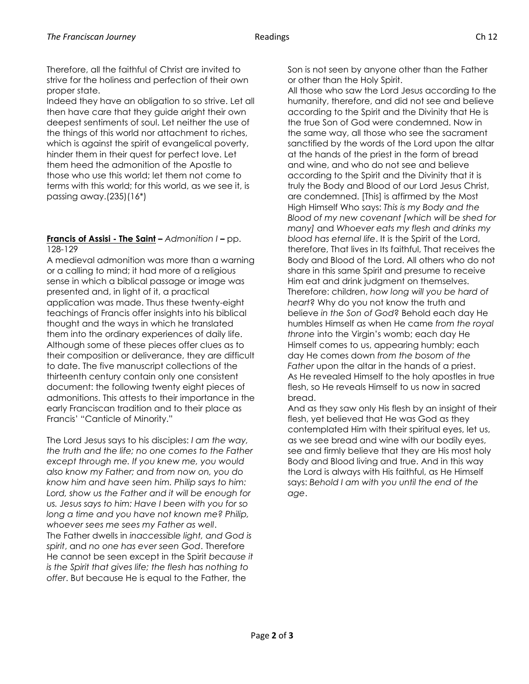Therefore, all the faithful of Christ are invited to strive for the holiness and perfection of their own proper state.

Indeed they have an obligation to so strive. Let all then have care that they guide aright their own deepest sentiments of soul. Let neither the use of the things of this world nor attachment to riches, which is against the spirit of evangelical poverty, hinder them in their quest for perfect love. Let them heed the admonition of the Apostle to those who use this world; let them not come to terms with this world; for this world, as we see it, is passing away.(235)(16\*)

## **Francis of Assisi - The Saint –** *Admonition I* **–** pp. 128-129

A medieval admonition was more than a warning or a calling to mind; it had more of a religious sense in which a biblical passage or image was presented and, in light of it, a practical application was made. Thus these twenty-eight teachings of Francis offer insights into his biblical thought and the ways in which he translated them into the ordinary experiences of daily life. Although some of these pieces offer clues as to their composition or deliverance, they are difficult to date. The five manuscript collections of the thirteenth century contain only one consistent document: the following twenty eight pieces of admonitions. This attests to their importance in the early Franciscan tradition and to their place as Francis' "Canticle of Minority."

The Lord Jesus says to his disciples: *I am the way, the truth and the life; no one comes to the Father except through me. If you knew me, you would also know my Father; and from now on, you do know him and have seen him. Philip says to him: Lord, show us the Father and it will be enough for us. Jesus says to him: Have I been with you for so long a time and you have not known me? Philip, whoever sees me sees my Father as well*. The Father dwells in *inaccessible light, and God is spirit*, and *no one has ever seen God*. Therefore He cannot be seen except in the Spirit *because it is the Spirit that gives life; the flesh has nothing to offer*. But because He is equal to the Father, the

Son is not seen by anyone other than the Father or other than the Holy Spirit.

All those who saw the Lord Jesus according to the humanity, therefore, and did not see and believe according to the Spirit and the Divinity that He is the true Son of God were condemned. Now in the same way, all those who see the sacrament sanctified by the words of the Lord upon the altar at the hands of the priest in the form of bread and wine, and who do not see and believe according to the Spirit and the Divinity that it is truly the Body and Blood of our Lord Jesus Christ, are condemned. [This] is affirmed by the Most High Himself Who says: *This is my Body and the Blood of my new covenant [which will be shed for many]* and *Whoever eats my flesh and drinks my blood has eternal life*. It is the Spirit of the Lord, therefore, That lives in Its faithful, That receives the Body and Blood of the Lord. All others who do not share in this same Spirit and presume to receive Him eat and drink judgment on themselves. Therefore: children, *how long will you be hard of heart*? Why do you not know the truth and believe *in the Son of God*? Behold each day He humbles Himself as when He came *from the royal throne* into the Virgin's womb; each day He Himself comes to us, appearing humbly; each day He comes down *from the bosom of the* Father upon the altar in the hands of a priest. As He revealed Himself to the holy apostles in true flesh, so He reveals Himself to us now in sacred bread.

And as they saw only His flesh by an insight of their flesh, yet believed that He was God as they contemplated Him with their spiritual eyes, let us, as we see bread and wine with our bodily eyes, see and firmly believe that they are His most holy Body and Blood living and true. And in this way the Lord is always with His faithful, as He Himself says: *Behold I am with you until the end of the age*.